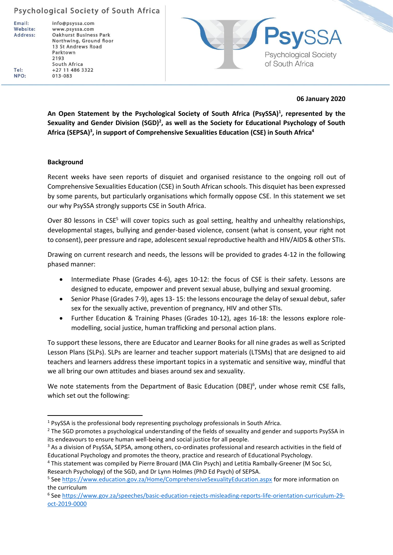Email: Website: Address: info@psyssa.com www.psyssa.com **Oakhurst Business Park** Northwing, Ground floor 13 St Andrews Road Parktown 2193 South Africa +27 11 486 3322 013-083



#### **06 January 2020**

**An Open Statement by the Psychological Society of South Africa (PsySSA)<sup>1</sup> , represented by the Sexuality and Gender Division (SGD)<sup>2</sup> , as well as the Society for Educational Psychology of South Africa (SEPSA)<sup>3</sup> , in support of Comprehensive Sexualities Education (CSE) in South Africa<sup>4</sup>**

#### **Background**

Recent weeks have seen reports of disquiet and organised resistance to the ongoing roll out of Comprehensive Sexualities Education (CSE) in South African schools. This disquiet has been expressed by some parents, but particularly organisations which formally oppose CSE. In this statement we set our why PsySSA strongly supports CSE in South Africa.

Over 80 lessons in CSE<sup>5</sup> will cover topics such as goal setting, healthy and unhealthy relationships, developmental stages, bullying and gender-based violence, consent (what is consent, your right not to consent), peer pressure and rape, adolescent sexual reproductive health and HIV/AIDS & other STIs.

Drawing on current research and needs, the lessons will be provided to grades 4-12 in the following phased manner:

- Intermediate Phase (Grades 4-6), ages 10-12: the focus of CSE is their safety. Lessons are designed to educate, empower and prevent sexual abuse, bullying and sexual grooming.
- Senior Phase (Grades 7-9), ages 13- 15: the lessons encourage the delay of sexual debut, safer sex for the sexually active, prevention of pregnancy, HIV and other STIs.
- Further Education & Training Phases (Grades 10-12), ages 16-18: the lessons explore rolemodelling, social justice, human trafficking and personal action plans.

To support these lessons, there are Educator and Learner Books for all nine grades as well as Scripted Lesson Plans (SLPs). SLPs are learner and teacher support materials (LTSMs) that are designed to aid teachers and learners address these important topics in a systematic and sensitive way, mindful that we all bring our own attitudes and biases around sex and sexuality.

We note statements from the Department of Basic Education (DBE)<sup>6</sup>, under whose remit CSE falls, which set out the following:

Tel: NPO:

<sup>&</sup>lt;sup>1</sup> PsySSA is the professional body representing psychology professionals in South Africa.

<sup>&</sup>lt;sup>2</sup> The SGD promotes a psychological understanding of the fields of sexuality and gender and supports PsySSA in its endeavours to ensure human well-being and social justice for all people.

<sup>&</sup>lt;sup>3</sup> As a division of PsySSA, SEPSA, among others, co-ordinates professional and research activities in the field of Educational Psychology and promotes the theory, practice and research of Educational Psychology.

<sup>4</sup> This statement was compiled by Pierre Brouard (MA Clin Psych) and Letitia Rambally-Greener (M Soc Sci, Research Psychology) of the SGD, and Dr Lynn Holmes (PhD Ed Psych) of SEPSA.

<sup>&</sup>lt;sup>5</sup> See<https://www.education.gov.za/Home/ComprehensiveSexualityEducation.aspx> for more information on the curriculum

<sup>6</sup> See [https://www.gov.za/speeches/basic-education-rejects-misleading-reports-life-orientation-curriculum-29](https://www.gov.za/speeches/basic-education-rejects-misleading-reports-life-orientation-curriculum-29-oct-2019-0000) [oct-2019-0000](https://www.gov.za/speeches/basic-education-rejects-misleading-reports-life-orientation-curriculum-29-oct-2019-0000)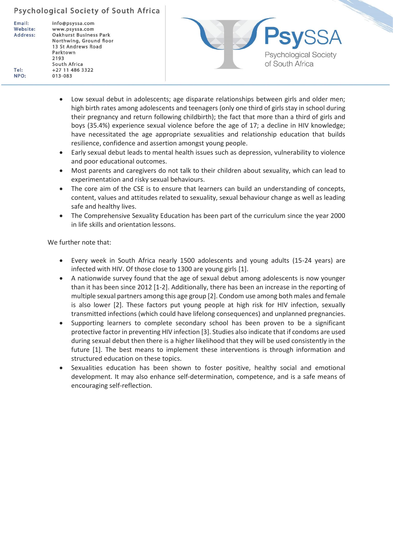Email: Website: Address:

Tel: NPO: info@psyssa.com www.psyssa.com **Oakhurst Business Park** Northwing, Ground floor 13 St Andrews Road Parktown 2193 South Africa +27 11 486 3322 013-083



- Low sexual debut in adolescents; age disparate relationships between girls and older men; high birth rates among adolescents and teenagers (only one third of girls stay in school during their pregnancy and return following childbirth); the fact that more than a third of girls and boys (35.4%) experience sexual violence before the age of 17; a decline in HIV knowledge; have necessitated the age appropriate sexualities and relationship education that builds resilience, confidence and assertion amongst young people.
- Early sexual debut leads to mental health issues such as depression, vulnerability to violence and poor educational outcomes.
- Most parents and caregivers do not talk to their children about sexuality, which can lead to experimentation and risky sexual behaviours.
- The core aim of the CSE is to ensure that learners can build an understanding of concepts, content, values and attitudes related to sexuality, sexual behaviour change as well as leading safe and healthy lives.
- The Comprehensive Sexuality Education has been part of the curriculum since the year 2000 in life skills and orientation lessons.

We further note that:

- Every week in South Africa nearly 1500 adolescents and young adults (15-24 years) are infected with HIV. Of those close to 1300 are young girls [1].
- A nationwide survey found that the age of sexual debut among adolescents is now younger than it has been since 2012 [1-2]. Additionally, there has been an increase in the reporting of multiple sexual partners among this age group [2]. Condom use among both males and female is also lower [2]. These factors put young people at high risk for HIV infection, sexually transmitted infections (which could have lifelong consequences) and unplanned pregnancies.
- Supporting learners to complete secondary school has been proven to be a significant protective factor in preventing HIV infection [3]. Studies also indicate that if condoms are used during sexual debut then there is a higher likelihood that they will be used consistently in the future [1]. The best means to implement these interventions is through information and structured education on these topics.
- Sexualities education has been shown to foster positive, healthy social and emotional development. It may also enhance self-determination, competence, and is a safe means of encouraging self-reflection.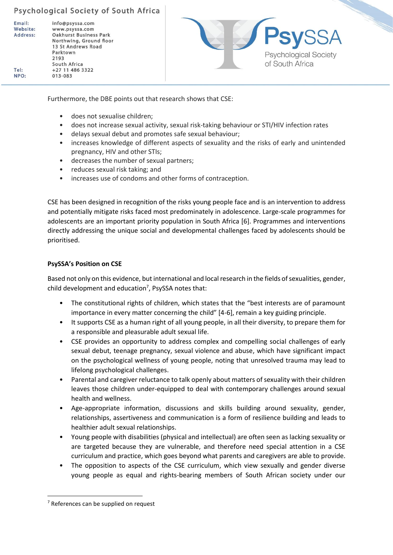Email: Website: Address:

Tel:

NPO:

info@psyssa.com www.psyssa.com **Oakhurst Business Park** Northwing, Ground floor 13 St Andrews Road Parktown 2193 South Africa +27 11 486 3322 013-083



Furthermore, the DBE points out that research shows that CSE:

- does not sexualise children;
- does not increase sexual activity, sexual risk-taking behaviour or STI/HIV infection rates
- delays sexual debut and promotes safe sexual behaviour;
- increases knowledge of different aspects of sexuality and the risks of early and unintended pregnancy, HIV and other STIs;
- decreases the number of sexual partners;
- reduces sexual risk taking; and
- increases use of condoms and other forms of contraception.

CSE has been designed in recognition of the risks young people face and is an intervention to address and potentially mitigate risks faced most predominately in adolescence. Large-scale programmes for adolescents are an important priority population in South Africa [6]. Programmes and interventions directly addressing the unique social and developmental challenges faced by adolescents should be prioritised.

### **PsySSA's Position on CSE**

Based not only on this evidence, but international and local research in the fields of sexualities, gender, child development and education<sup>7</sup>, PsySSA notes that:

- The constitutional rights of children, which states that the "best interests are of paramount importance in every matter concerning the child" [4-6], remain a key guiding principle.
- It supports CSE as a human right of all young people, in all their diversity, to prepare them for a responsible and pleasurable adult sexual life.
- CSE provides an opportunity to address complex and compelling social challenges of early sexual debut, teenage pregnancy, sexual violence and abuse, which have significant impact on the psychological wellness of young people, noting that unresolved trauma may lead to lifelong psychological challenges.
- Parental and caregiver reluctance to talk openly about matters of sexuality with their children leaves those children under-equipped to deal with contemporary challenges around sexual health and wellness.
- Age-appropriate information, discussions and skills building around sexuality, gender, relationships, assertiveness and communication is a form of resilience building and leads to healthier adult sexual relationships.
- Young people with disabilities (physical and intellectual) are often seen as lacking sexuality or are targeted because they are vulnerable, and therefore need special attention in a CSE curriculum and practice, which goes beyond what parents and caregivers are able to provide.
- The opposition to aspects of the CSE curriculum, which view sexually and gender diverse young people as equal and rights-bearing members of South African society under our

<sup>7</sup> References can be supplied on request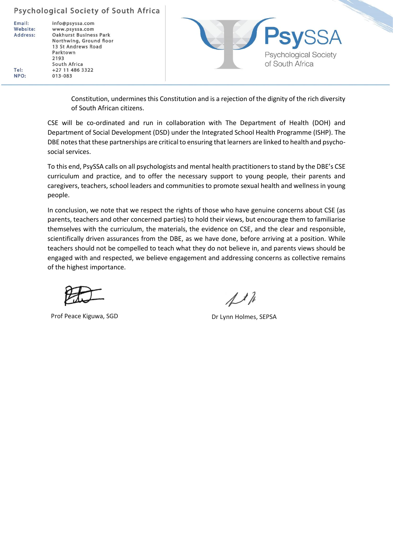Email: Website: Address:

Tel:

NPO:

info@psyssa.com www.psyssa.com **Oakhurst Business Park** Northwing, Ground floor 13 St Andrews Road Parktown 2193 South Africa +27 11 486 3322 013-083



Constitution, undermines this Constitution and is a rejection of the dignity of the rich diversity of South African citizens.

CSE will be co-ordinated and run in collaboration with The Department of Health (DOH) and Department of Social Development (DSD) under the Integrated School Health Programme (ISHP). The DBE notes that these partnerships are critical to ensuring that learners are linked to health and psychosocial services.

To this end, PsySSA calls on all psychologists and mental health practitioners to stand by the DBE's CSE curriculum and practice, and to offer the necessary support to young people, their parents and caregivers, teachers, school leaders and communities to promote sexual health and wellness in young people.

In conclusion, we note that we respect the rights of those who have genuine concerns about CSE (as parents, teachers and other concerned parties) to hold their views, but encourage them to familiarise themselves with the curriculum, the materials, the evidence on CSE, and the clear and responsible, scientifically driven assurances from the DBE, as we have done, before arriving at a position. While teachers should not be compelled to teach what they do not believe in, and parents views should be engaged with and respected, we believe engagement and addressing concerns as collective remains of the highest importance.

Prof Peace Kiguwa, SGD Dr Lynn Holmes, SEPSA

 $\Lambda$  th